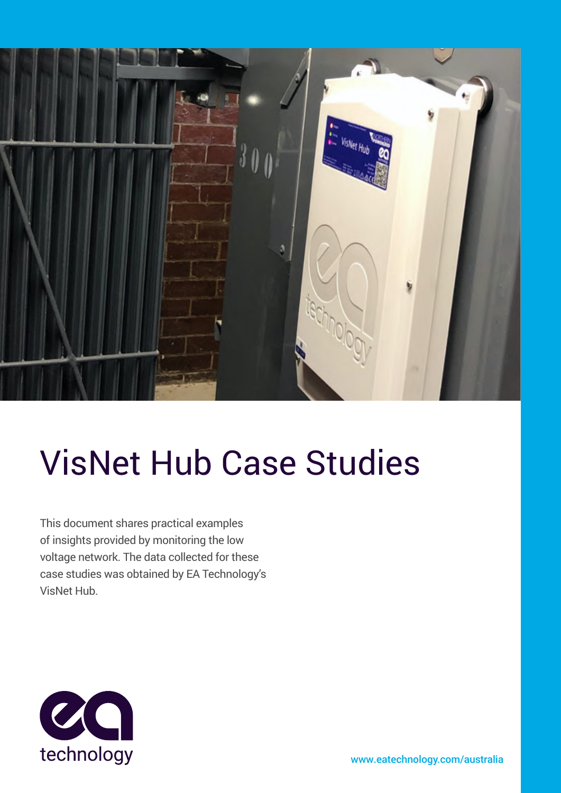

# VisNet Hub Case Studies

This document shares practical examples of insights provided by monitoring the low voltage network. The data collected for these case studies was obtained by EA Technology's VisNet Hub.



[www.eatechnology.com](www.eatechnology.com/australia)/australia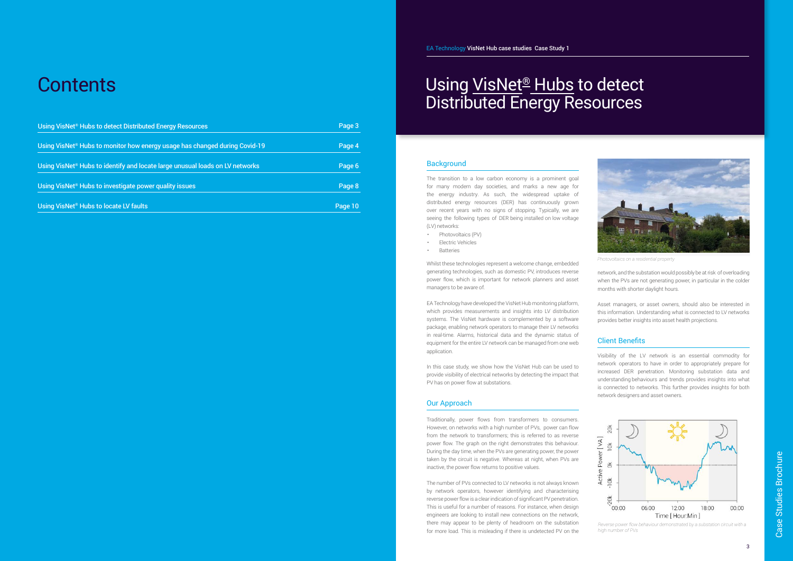### Using <u>VisNet® Hubs</u> to detect Distributed Energy Resources

#### **Background**

The transition to a low carbon economy is a prominent goal for many modern day societies, and marks a new age for the energy industry. As such, the widespread uptake of distributed energy resources (DER) has continuously grown over recent years with no signs of stopping. Typically, we are seeing the following types of DER being installed on low voltage (LV) networks:

- Photovoltaics (PV)
- Electric Vehicles
- Batteries

Whilst these technologies represent a welcome change, embedded generating technologies, such as domestic PV, introduces reverse power flow, which is important for network planners and asset managers to be aware of.

EA Technology have developed the VisNet Hub monitoring platform, which provides measurements and insights into LV distribution systems. The VisNet hardware is complemented by a software package, enabling network operators to manage their LV networks in real-time. Alarms, historical data and the dynamic status of equipment for the entire LV network can be managed from one web application.

In this case study, we show how the VisNet Hub can be used to provide visibility of electrical networks by detecting the impact that PV has on power flow at substations.

#### Our Approach

Traditionally, power flows from transformers to consumers. However, on networks with a high number of PVs, power can flow from the network to transformers; this is referred to as reverse power flow. The graph on the right demonstrates this behaviour. During the day time, when the PVs are generating power, the power taken by the circuit is negative. Whereas at night, when PVs are inactive, the power flow returns to positive values.

The number of PVs connected to LV networks is not always known by network operators, however identifying and characterising reverse power flow is a clear indication of significant PV penetration. This is useful for a number of reasons. For instance, when design engineers are looking to install new connections on the network, there may appear to be plenty of headroom on the substation for more load. This is misleading if there is undetected PV on the network, and the substation would possibly be at risk of overloading when the PVs are not generating power, in particular in the colder months with shorter daylight hours.

Asset managers, or asset owners, should also be interested in this information. Understanding what is connected to LV networks provides better insights into asset health projections.

#### Client Benefits

Visibility of the LV network is an essential commodity for network operators to have in order to appropriately prepare for increased DER penetration. Monitoring substation data and understanding behaviours and trends provides insights into what is connected to networks. This further provides insights for both network designers and asset owners.



*Reverse power flow behaviour demonstrated by a substation circuit with a high number of PVs*



*Photovoltaics on a residential property*

### **Contents**

| Using VisNet <sup>®</sup> Hubs to detect Distributed Energy Resources                    | Page 3  |
|------------------------------------------------------------------------------------------|---------|
| Using VisNet <sup>®</sup> Hubs to monitor how energy usage has changed during Covid-19   | Page 4  |
| Using VisNet <sup>®</sup> Hubs to identify and locate large unusual loads on LV networks | Page 6  |
| Using VisNet <sup>®</sup> Hubs to investigate power quality issues                       | Page 8  |
| Using VisNet <sup>®</sup> Hubs to locate LV faults                                       | Page 10 |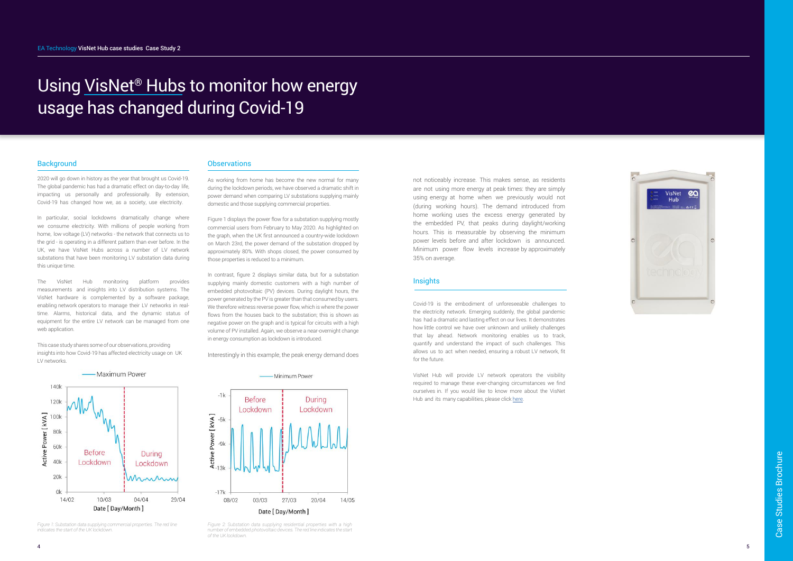## Using VisNet® Hubs to monitor how energy usage has changed during Covid-19

#### **Background**

In particular, social lockdowns dramatically change where we consume electricity. With millions of people working from home, low voltage (LV) networks - the network that connects us to the grid - is operating in a different pattern than ever before. In the UK, we have VisNet Hubs across a number of LV network substations that have been monitoring LV substation data during this unique time.

2020 will go down in history as the year that brought us Covid-19. The global pandemic has had a dramatic effect on day-to-day life, impacting us personally and professionally. By extension, Covid-19 has changed how we, as a society, use electricity.

As working from home has become the new normal for many during the lockdown periods, we have observed a dramatic shift in power demand when comparing LV substations supplying mainly domestic and those supplying commercial properties.

The VisNet Hub monitoring platform provides measurements and insights into LV distribution systems. The VisNet hardware is complemented by a software package, enabling network operators to manage their LV networks in real time. Alarms, historical data, and the dynamic status of equipment for the entire LV network can be managed from one web application.

This case study shares some of our observations, providing insights into how Covid-19 has affected electricity usage on UK LV networks.

Figure 1 displays the power flow for a substation supplying mostly commercial users from February to May 2020. As highlighted on the graph, when the UK first announced a country-wide lockdown on March 23rd, the power demand of the substation dropped by approximately 80%. With shops closed, the power consumed by those properties is reduced to a minimum.

> VisNet Hub will provide LV network operators the visibility required to manage these ever-changing circumstances we find ourselves in. If you would like to know more about the VisNet Hub and its many capabilities, please click [here.](https://eatechnology.com/australia/products/low-voltage-alvin-range/visnet-hub/)



In contrast, figure 2 displays similar data, but for a substation supplying mainly domestic customers with a high number of embedded photovoltaic (PV) devices. During daylight hours, the power generated by the PV is greater than that consumed by users. We therefore witness reverse power flow, which is where the power flows from the houses back to the substation; this is shown as negative power on the graph and is typical for circuits with a high volume of PV installed. Again, we observe a near-overnight change in energy consumption as lockdown is introduced.

Interestingly in this example, the peak energy demand does



*Figure 2: Substation data supplying residential properties with a high number of embedded photovoltaic devices. The red line indicates the start of the UK lockdown.*



*Figure 1: Substation data supplying commercial properties. The red line indicates the start of the UK lockdown.* 

#### **Observations**

not noticeably increase. This makes sense, as residents are not using more energy at peak times: they are simply using energy at home when we previousl y would not (during working hours). The demand introduced from home working uses the excess energy generated by the embedded P V, that peaks during daylight/working hours. This is measurable by observing the minimum power levels before and after lockdown is announced. Minimum power flow levels increase by approximately 35% on average.

#### **Insights**

Covid-19 is the embodiment of unforeseeable challenges to the electricity network. Emerging suddenly, the global pandemic has had a dramatic and lasting effect on our lives. It demonstrates how little control we have over unknown and unlikely challenges that lay ahead. Network monitoring enables us to track, quantify and understand the impact of such challenges. This allows us to act when needed, ensuring a robust LV network, fit for the future.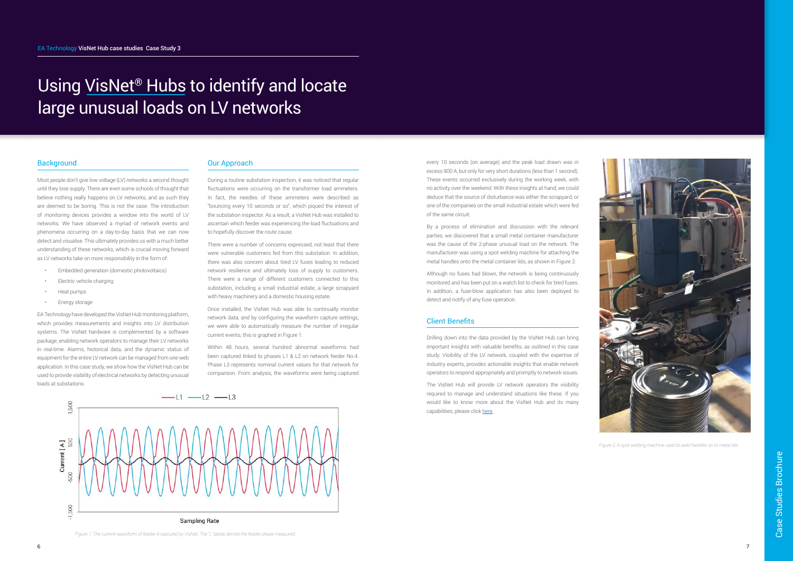## Using VisNet® Hubs to identify and locate large unusual loads on LV networks

#### **Background**

Most people don't give low voltage (LV) networks a second thought until they lose supply. There are even some schools of thought that believe nothing really happens on LV networks, and as such they are deemed to be boring. This is not the case. The introduction of monitoring devices provides a window into the world of LV networks. We have observed a myriad of network events and phenomena occurring on a day-to-day basis that we can now detect and visualise. This ultimately provides us with a much better understanding of these networks, which is crucial moving forward as LV networks take on more responsibility in the form of:

- Embedded generation (domestic photovoltaics)
- Electric vehicle charging
- Heat pumps
- Energy storage

EA Technology have developed the VisNet Hub monitoring platform, which provides measurements and insights into LV distribution systems. The VisNet hardware is complemented by a software package, enabling network operators to manage their LV networks in real-time. Alarms, historical data, and the dynamic status of equipment for the entire LV network can be managed from one web application. In this case study, we show how the VisNet Hub can be used to provide visibility of electrical networks by detecting unusual loads at substations.

#### Our Approach

During a routine substation inspection, it was noticed that regular fluctuations were occurring on the transformer load ammeters. In fact, the needles of these ammeters were described as "bouncing every 10 seconds or so", which piqued the interest of the substation inspector. As a result, a VisNet Hub was installed to ascertain which feeder was experiencing the load fluctuations and to hopefully discover the route cause.

There were a number of concerns expressed, not least that there were vulnerable customers fed from this substation. In addition, there was also concern about tired LV fuses leading to reduced network resilience and ultimately loss of supply to customers. There were a range of different customers connected to this substation, including a small industrial estate, a large scrapyard with heavy machinery and a domestic housing estate.

> The VisNet Hub will provide LV network operators the visibility required to manage and understand situations like these. If you would like to know more about the VisNet Hub and its many capabilities, please click [here](https://eatechnology.com/australia/products/low-voltage-alvin-range/visnet-hub/).

Once installed, the VisNet Hub was able to continually monitor network data, and by configuring the waveform capture settings, we were able to automatically measure the number of irregular current events; this is graphed in Figure 1.

Within 48 hours, several hundred abnormal waveforms had been captured linked to phases L1 & L2 on network feeder No.4. Phase L3 represents nominal current values for that network for comparison. From analysis, the waveforms were being captured



*Figure 1: The current waveform of feeder 4 captured by VisNet. The "L" labels denote the feeder phase measured.*

every 10 seconds (on average) and the peak load drawn was in excess 900 A, but only for very short durations (less than 1 second). These events occurred exclusively during the working week, with no activity over the weekend. With these insights at hand, we could deduce that the source of disturbance was either the scrapyard, or one of the companies on the small industrial estate which were fed of the same circuit.

By a process of elimination and discussion with the relevant parties, we discovered that a small metal container manufacturer was the cause of the 2-phase unusual load on the network. The manufacturer was using a spot welding machine for attaching the metal handles onto the metal container lids, as shown in Figure 2.

Although no fuses had blown, the network is being continuously monitored and has been put on a watch list to check for tired fuses. In addition, a fuse-blow application has also been deployed to detect and notify of any fuse operation.

#### Client Benefits

Drilling down into the data provided by the VisNet Hub can bring important insights with valuable benefits, as outlined in this case study. Visibility of the LV network, coupled with the expertise of industry experts, provides actionable insights that enable network operators to respond appropriately and promptly to network issues.



*Figure 2: A spot welding machine used to weld handles on to metal lids*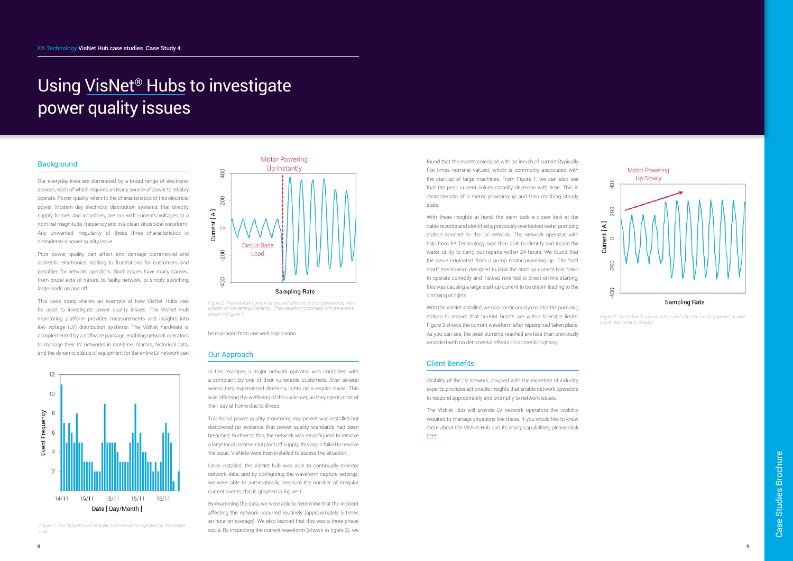### Using VisNet® Hubs to investigate power quality issues

#### **Background**

Our everyday lives are dominated by a broad range of electronic devices, each of which requires a steady source of power to reliably operate. Power quality refers to the characteristics of this electrical power. Modern day electricity distribution systems, that directly supply homes and industries, are run with currents/voltages at a nominal magnitude, frequency and in a clean sinusoidal waveform. Any unwanted irregularity of these three characteristics is considered a power quality issue.

Poor power quality can affect and damage commercial and domestic electronics, leading to frustrations for customers and penalties for network operators. Such issues have many causes, from brutal acts of nature, to faulty network, to simply switching large loads on and off.

This case study shares an example of how VisNet Hubs can be used to investigate power quality issues. The VisNet Hub monitoring platform provides measurements and insights into low voltage (LV) distribution systems. The VisNet hardware is complemented by a software package, enabling network operators to manage their LV networks in real-time. Alarms, historical data, and the dynamic status of equipment for the entire LV network can



be managed from one web application.

#### Our Approach

In this example, a major network operator was contacted with a complaint by one of their vulnerable customers. Over several weeks they experienced dimming lights on a regular basis. This was affecting the wellbeing of the customer, as they spent most of their day at home due to illness.

Traditional power quality monitoring equipment was installed but discovered no evidence that power quality standards had been breached. Further to this, the network was reconfigured to remove a large local commercial plant off supply; this again failed to resolve the issue. VisNets were then installed to assess the situation.

With these insights at hand, the team took a closer look at the cable records and identified a previously overlooked water pumping station connect to the LV network. The network operator, with help from EA Technology, was then able to identify and locate the water utility to carry out repairs within 24 hours. We found that the issue originated from a pump motor powering up. The "soft start" mechanism designed to limit the start-up current had failed to operate correctly and instead reverted to direct on-line starting; this was causing a large start-up current to be drawn leading to the dimming of lights.

Once installed, the VisNet hub was able to continually monitor network data, and by configuring the waveform capture settings, we were able to automatically measure the number of irregular current events; this is graphed in Figure 1.

By examining the data, we were able to determine that the incident affecting the network occurred routinely (approximately 5 times an hour on average). We also learned that this was a three-phase issue. By inspecting the current waveform (shown in figure 2), we



*Figure 2: The network current before and after the motor powered up with*  a direct on-line setting (instantly). This waveform coincided with the events *shown in Figure 1.* 

*Figure 1: The frequency of irregular current events captured by the VisNet Hub.* 

found that the events coincided with an inrush of current (typically five times nominal values), which is commonly associated with the start-up of large machines. From Figure 1, we can also see that the peak current values steadily decrease with time. This is characteristic of a motor powering-up and then reaching steady state.

With the VisNet installed, we can continuously monitor the pumping station to ensure that current bursts are within tolerable limits. Figure 3 shows the current waveform after repairs had taken place. As you can see, the peak currents reached are less than previously recorded with no detrimental effects on domestic lighting.

#### Client Benefits

Visibility of the LV network, coupled with the expertise of industry experts, provides actionable insights that enable network operators to respond appropriately and promptly to network issues.

The VisNet Hub will provide LV network operators the visibility required to manage situations like these. If you would like to know more about the VisNet Hub and its many capabilities, please click [here.](https://eatechnology.com/australia/products/low-voltage-alvin-range/visnet-hub/)



*Figure 3: The network current before and after the motor powered up with a soft start setting (slowly).*